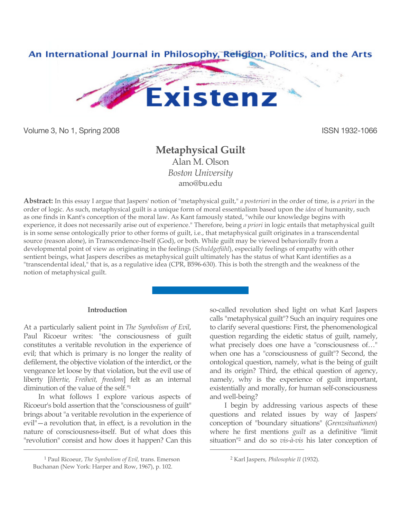

Volume 3, No 1, Spring 2008 ISSN 1932-1066

# **Metaphysical Guilt**

Alan M. Olson *Boston University* amo@bu.edu

**Abstract:** In this essay I argue that Jaspers' notion of "metaphysical guilt," *a posteriori* in the order of time, is *a priori* in the order of logic. As such, metaphysical guilt is a unique form of moral essentialism based upon the *idea* of humanity, such as one finds in Kant's conception of the moral law. As Kant famously stated, "while our knowledge begins with experience, it does not necessarily arise out of experience." Therefore, being *a priori* in logic entails that metaphysical guilt is in some sense ontologically prior to other forms of guilt, i.e., that metaphysical guilt originates in a transcendental source (reason alone), in Transcendence-Itself (God), or both. While guilt may be viewed behaviorally from a developmental point of view as originating in the feelings (*Schuldgefühl*), especially feelings of empathy with other sentient beings, what Jaspers describes as metaphysical guilt ultimately has the status of what Kant identifies as a "transcendental ideal," that is, as a regulative idea (CPR, B596-630). This is both the strength and the weakness of the notion of metaphysical guilt.

 $\overline{a}$ 

## **Introduction**

At a particularly salient point in *The Symbolism of Evil*, Paul Ricoeur writes: "the consciousness of guilt constitutes a veritable revolution in the experience of evil; that which is primary is no longer the reality of defilement, the objective violation of the interdict, or the vengeance let loose by that violation, but the evil use of liberty [*libertie, Freiheit, freedom*] felt as an internal diminution of the value of the self."1

In what follows I explore various aspects of Ricoeur's bold assertion that the "consciousness of guilt" brings about "a veritable revolution in the experience of evil"—a revolution that, in effect, is a revolution in the nature of consciousness-itself. But of what does this "revolution" consist and how does it happen? Can this

 $\overline{a}$ 

so-called revolution shed light on what Karl Jaspers calls "metaphysical guilt"? Such an inquiry requires one to clarify several questions: First, the phenomenological question regarding the eidetic status of guilt, namely, what precisely does one have a "consciousness of…" when one has a "consciousness of guilt"? Second, the ontological question, namely, what is the being of guilt and its origin? Third, the ethical question of agency, namely, why is the experience of guilt important, existentially and morally, for human self-consciousness and well-being?

I begin by addressing various aspects of these questions and related issues by way of Jaspers' conception of "boundary situations" (*Grenzsituationen*) where he first mentions *guilt* as a definitive "limit situation"2 and do so *vis-à-vis* his later conception of

<sup>1</sup> Paul Ricoeur, *The Symbolism of Evil,* trans. Emerson Buchanan (New York: Harper and Row, 1967), p. 102.

<sup>2</sup> Karl Jaspers*, Philosophie II* (1932).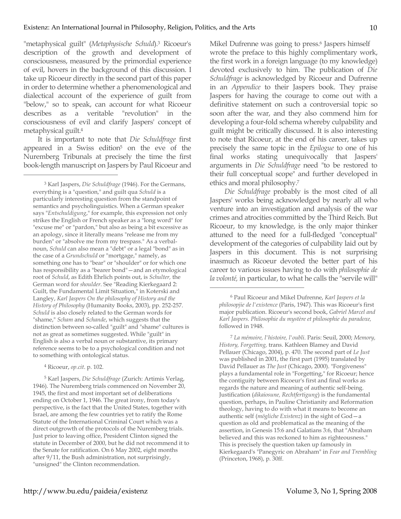"metaphysical guilt" (*Metaphysische Schuld*). <sup>3</sup> Ricoeur's description of the growth and development of consciousness, measured by the primordial experience of evil, hovers in the background of this discussion. I take up Ricoeur directly in the second part of this paper in order to determine whether a phenomenological and dialectical account of the experience of guilt from "below," so to speak, can account for what Ricoeur describes as a veritable "revolution" in the consciousness of evil and clarify Jaspers' concept of metaphysical guilt.4

It is important to note that *Die Schuldfrage* first appeared in a Swiss edition<sup>5</sup> on the eve of the Nuremberg Tribunals at precisely the time the first book-length manuscript on Jaspers by Paul Ricoeur and

4 Ricoeur, *op.cit*. p. 102.

 $\overline{a}$ 

5 Karl Jaspers, *Die Schuldfrage* (Zurich: Artimis Verlag, 1946). The Nuremberg trials commenced on November 20, 1945, the first and most important set of deliberations ending on October 1, 1946. The great irony, from today's perspective, is the fact that the United States, together with Israel, are among the few countries yet to ratify the Rome Statute of the International Criminal Court which was a direct outgrowth of the protocols of the Nuremberg trials. Just prior to leaving office, President Clinton signed the statute in December of 2000, but he did not recommend it to the Senate for ratification. On 6 May 2002, eight months after 9/11, the Bush administration, not surprisingly, "unsigned" the Clinton recommendation.

Mikel Dufrenne was going to press.<sup>6</sup> Jaspers himself wrote the preface to this highly complimentary work, the first work in a foreign language (to my knowledge) devoted exclusively to him. The publication of *Die Schuldfrage* is acknowledged by Ricoeur and Dufrenne in an *Appendice* to their Jaspers book. They praise Jaspers for having the courage to come out with a definitive statement on such a controversial topic so soon after the war, and they also commend him for developing a four-fold schema whereby culpability and guilt might be critically discussed. It is also interesting to note that Ricoeur, at the end of his career, takes up precisely the same topic in the *Epilogue* to one of his final works stating unequivocally that Jaspers' arguments in *Die Schuldfrage* need "to be restored to their full conceptual scope" and further developed in ethics and moral philosophy.7

*Die Schuldfrage* probably is the most cited of all Jaspers' works being acknowledged by nearly all who venture into an investigation and analysis of the war crimes and atrocities committed by the Third Reich. But Ricoeur, to my knowledge, is the only major thinker attuned to the need for a full-fledged "conceptual" development of the categories of culpability laid out by Jaspers in this document. This is not surprising inasmuch as Ricoeur devoted the better part of his career to various issues having to do with *philosophie de la volonté,* in particular, to what he calls the "servile will"

 $\overline{a}$ 

<sup>7</sup> *La mémoire, l'histoire, l'oubli*. Paris: Seuil, 2000; *Memory, History, Forgetting,* trans. Kathleen Blamey and David Pellauer (Chicago, 2004), p. 470. The second part of *Le Just* was published in 2001, the first part (1995) translated by David Pellauer as *The Just* (Chicago, 2000). "Forgiveness" plays a fundamental role in "Forgetting," for Ricoeur; hence the contiguity between Ricoeur's first and final works as regards the nature and meaning of authentic self-being. Justification (*dikaiosune, Rechtfertigung*) is the fundamental question, perhaps, in Pauline Christianity and Reformation theology, having to do with what it means to become an authentic self (*mögliche Existenz*) in the sight of God—a question as old and problematical as the meaning of the assertion, in Genesis 15:6 and Galatians 3:6, that "Abraham believed and this was reckoned to him as righteousness." This is precisely the question taken up famously in Kierkegaard's "Panegyric on Abraham" in *Fear and Trembling* (Princeton, 1968), p. 30ff.

<sup>3</sup> Karl Jaspers, *Die Schuldfrage* (1946). For the Germans, everything is a "question," and guilt qua *Schuld* is a particularly interesting question from the standpoint of semantics and psycholinguistics. When a German speaker says "*Entschuldigung*," for example, this expression not only strikes the English or French speaker as a "long word" for "excuse me" or "pardon," but also as being a bit excessive as an apology, since it literally means "release me from my burden" or "absolve me from my trespass." As a verbalnoun, *Schuld* can also mean a "debt" or a legal "bond" as in the case of a *Grundschuld* or "mortgage," namely, as something one has to "bear" or "shoulder" or for which one has responsibility as a "bearer bond"—and an etymological root of *Schuld*, as Edith Ehrlich points out, is *Schulter,* the German word for *shoulder*. See "Reading Kierkegaard 2: Guilt, the Fundamental Limit Situation," in Koterski and Langley, *Karl Jaspers On the philosophy of History and the History of Philosophy* (Humanity Books, 2003), pp. 252-257. *Schuld* is also closely related to the German words for "shame," *Scham* and *Schande*, which suggests that the distinction between so-called "guilt" and "shame" cultures is not as great as sometimes suggested. While "guilt" in English is also a verbal noun or substantive, its primary reference seems to be to a psychological condition and not to something with ontological status.

<sup>6</sup> Paul Ricoeur and Mikel Dufrenne, *Karl Jaspers et la philosopjie de l'existence* (Paris, 1947). This was Ricoeur's first major publication. Ricoeur's second book, *Gabriel Marcel and Karl Jaspers. Philosophie du mystère et philosophie du paradoxe,* followed in 1948.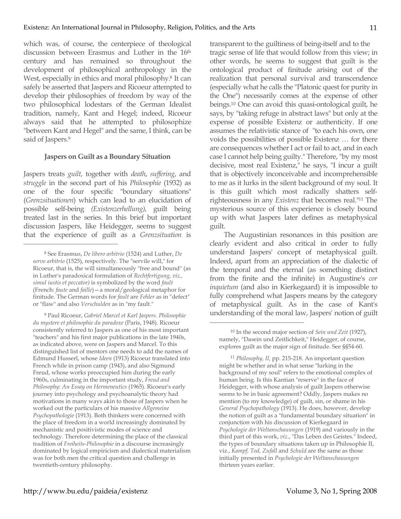which was, of course, the centerpiece of theological discussion between Erasmus and Luther in the 16<sup>th</sup> century and has remained so throughout the development of philosophical anthropology in the West, especially in ethics and moral philosophy.<sup>8</sup> It can safely be asserted that Jaspers and Ricoeur attempted to develop their philosophies of freedom by way of the two philosophical lodestars of the German Idealist tradition, namely, Kant and Hegel; indeed, Ricoeur always said that he attempted to philosophize "between Kant and Hegel" and the same, I think, can be said of Jaspers.<sup>9</sup>

## **Jaspers on Guilt as a Boundary Situation**

Jaspers treats *guilt*, together with *death*, *suffering*, and *struggle* in the second part of his *Philosophie* (1932) as one of the four specific "boundary situations" (*Grenzsituationen*) which can lead to an elucidation of possible self-being *(Existenzerhellung)*, guilt being treated last in the series. In this brief but important discussion Jaspers, like Heidegger, seems to suggest that the experience of guilt as a *Grenzsituation* is

 $\overline{a}$ 

<sup>9</sup> Paul Ricoeur, *Gabriel Marcel et Karl Jaspers. Philosophie du mystere et philosophie du paradoxe* (Paris, 1948). Ricoeur consistently referred to Jaspers as one of his most important "teachers" and his first major publications in the late 1940s, as indicated above, were on Jaspers and Marcel. To this distinguished list of mentors one needs to add the names of Edmund Husserl, whose *Ideen* (1913) Ricoeur translated into French while in prison camp (1943), and also Sigmund Freud, whose works preoccupied him during the early 1960s, culminating in the important study, *Freud and Philosophy: An Essay on Hermeneutics* (1965). Ricoeur's early journey into psychology and psychoanalytic theory had motivations in many ways akin to those of Jaspers when he worked out the particulars of his massive *Allgemeine Psychopathologie* (1913). Both thinkers were concerned with the place of freedom in a world increasingly dominated by mechanistic and positivistic modes of science and technology. Therefore determining the place of the classical tradition of *Freiheits-Philosophie* in a discourse increasingly dominated by logical empiricism and dialectical materialism was for both men the critical question and challenge in twentieth-century philosophy.

transparent to the guiltiness of being-itself and to the tragic sense of life that would follow from this view; in other words, he seems to suggest that guilt is the ontological product of finitude arising out of the realization that personal survival and transcendence (especially what he calls the "Platonic quest for purity in the One") necessarily comes at the expense of other beings. <sup>10</sup> One can avoid this quasi-ontological guilt, he says, by "taking refuge in abstract laws" but only at the expense of possible Existenz or authenticity. If one assumes the relativistic stance of "to each his own, one voids the possibilities of possible Existenz … for there are consequences whether I act or fail to act, and in each case I cannot help being guilty." Therefore, "by my most decisive, most real Existenz," he says, "I incur a guilt that is objectively inconceivable and incomprehensible to me as it lurks in the silent background of my soul. It is this guilt which most radically shatters selfrighteousness in any *Existenz* that becomes real."11 The mysterious source of this experience is closely bound up with what Jaspers later defines as metaphysical guilt.

The Augustinian resonances in this position are clearly evident and also critical in order to fully understand Jaspers' concept of metaphysical guilt. Indeed, apart from an appreciation of the dialectic of the temporal and the eternal (as something distinct from the finite and the infinite) in Augustine's *cor inquietum* (and also in Kierkegaard) it is impossible to fully comprehend what Jaspers means by the category of metaphysical guilt. As in the case of Kant's understanding of the moral law, Jaspers' notion of guilt

 $\overline{a}$ 

<sup>11</sup> *Philosophy, II,* pp. 215-218. An important question might be whether and in what sense "lurking in the background of my soul" refers to the emotional complex of human being. Is this Kantian "reserve" in the face of Heidegger, with whose analysis of guilt Jaspers otherwise seems to be in basic agreement? Oddly, Jaspers makes no mention (to my knowledge) of guilt, sin, or shame in his *General Psychopathology* (1913). He does, however, develop the notion of guilt as a "fundamental boundary situation" in conjunction with his discussion of Kierkegaard in *Psychologie der Weltanschauungen* (1919) and variously in the third part of this work, *viz*., "Das Leben des Geistes." Indeed, the types of boundary situations taken up in Philosophie II, viz., *Kampf, Tod, Zufall* and *Schuld* are the same as those initially presented in *Psychologie der Weltanschauungen*  thirteen years earlier.

<sup>8</sup> See Erasmus, *De libero arbitrio* (1524) and Luther, *De servo arbitrio* (1525), respectively. The "servile will," for Ricoeur, that is, the will simultaneously "free and bound" (as in Luther's paradoxical formulation of *Rechtfertigung, viz., simul iustis et peccator)* is symbolized by the word *fault* (French: *faute* and *faille*)—a moral/geological metaphor for finitude. The German words for *fault* are *Fehler* as in "defect" or "flaw" and also *Verschulden* as in "my fault."

<sup>10</sup> In the second major section of *Sein und Zeit* (1927), namely, "Dasein und Zeitlichkeit," Heidegger, of course, explores guilt as the major sign of finitude. See §§54-60.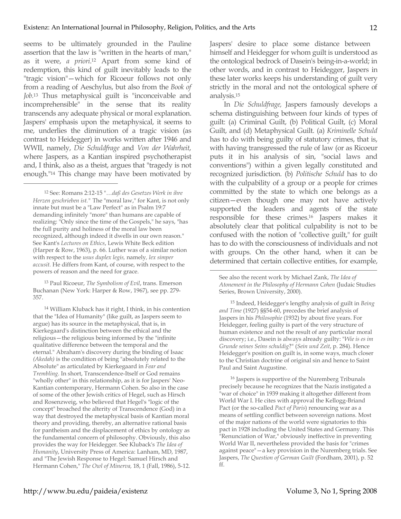seems to be ultimately grounded in the Pauline assertion that the law is "written in the hearts of man," as it were, *a priori*. <sup>12</sup> Apart from some kind of redemption, this kind of guilt inevitably leads to the "tragic vision"—which for Ricoeur follows not only from a reading of Aeschylus, but also from the *Book of Job.*<sup>13</sup> Thus metaphysical guilt is "inconceivable and incomprehensible" in the sense that its reality transcends any adequate physical or moral explanation. Jaspers' emphasis upon the metaphysical, it seems to me, underlies the diminution of a tragic vision (as contrast to Heidegger) in works written after 1946 and WWII, namely, *Die Schuldfrage* and *Von der Wahrheit*, where Jaspers, as a Kantian inspired psychotherapist and, I think, also as a theist, argues that "tragedy is not enough."14 This change may have been motivated by

 $\overline{a}$ 

13 Paul Ricoeur, *The Symbolism of Evil*, trans. Emerson Buchanan (New York: Harper & Row, 1967), see pp. 279- 357.

14 William Kluback has it right, I think, in his contention that the "Idea of Humanity" (like guilt, as Jaspers seem to argue) has its source in the metaphysical, that is, in Kierkegaard's distinction between the ethical and the religious—the religious being informed by the "infinite qualitative difference between the temporal and the eternal." Abraham's discovery during the binding of Isaac *(Akedah)* is the condition of being "absolutely related to the Absolute" as articulated by Kierkegaard in *Fear and Trembling.* In short, Transcendence-Itself or God remains "wholly other" in this relationship, as it is for Jaspers' Neo-Kantian contemporary, Hermann Cohen. So also in the case of some of the other Jewish critics of Hegel, such as Hirsch and Rosenzweig, who believed that Hegel's "logic of the concept" broached the alterity of Transcendence (God) in a way that destroyed the metaphysical basis of Kantian moral theory and providing, thereby, an alternative rational basis for pantheism and the displacement of ethics by ontology as the fundamental concern of philosophy. Obviously, this also provides the way for Heidegger. See Kluback's *The Idea of Humanity*, University Press of America: Lanham, MD, 1987, and "The Jewish Response to Hegel: Samuel Hirsch and Hermann Cohen," *The Owl of Minerva,* 18, 1 (Fall, 1986), 5-12.

Jaspers' desire to place some distance between himself and Heidegger for whom guilt is understood as the ontological bedrock of Dasein's being-in-a-world; in other words, and in contrast to Heidegger, Jaspers in these later works keeps his understanding of guilt very strictly in the moral and not the ontological sphere of analysis.15

In *Die Schuldfrage,* Jaspers famously develops a schema distinguishing between four kinds of types of guilt: (a) Criminal Guilt, (b) Political Guilt, (c) Moral Guilt, and (d) Metaphysical Guilt. (a) *Kriminelle Schuld* has to do with being guilty of statutory crimes, that is, with having transgressed the rule of law (or as Ricoeur puts it in his analysis of sin, "social laws and conventions") within a given legally constituted and recognized jurisdiction. (b) *Politische Schuld* has to do with the culpability of a group or a people for crimes committed by the state to which one belongs as a citizen—even though one may not have actively supported the leaders and agents of the state responsible for these crimes.16 Jaspers makes it absolutely clear that political culpability is not to be confused with the notion of "collective guilt," for guilt has to do with the consciousness of individuals and not with groups. On the other hand, when it can be determined that certain collective entities, for example,

 $\overline{a}$ 

15 Indeed, Heidegger's lengthy analysis of guilt in *Being and Time* (1927) §§54-60, precedes the brief analysis of Jaspers in his *Philosophie* (1932) by about five years. For Heidegger, feeling guilty is part of the very structure of human existence and not the result of any particular moral discovery; i.e., Dasein is always already guilty: "*Wie is es im Grunde seines Seins schuldig*?" (*Sein und Zeit*, p. 284). Hence Heidegger's position on guilt is, in some ways, much closer to the Christian doctrine of original sin and hence to Saint Paul and Saint Augustine.

16 Jaspers is supportive of the Nuremberg Tribunals precisely because he recognizes that the Nazis instigated a "war of choice" in 1939 making it altogether different from World War I. He cites with approval the Kellogg-Briand Pact (or the so-called *Pact of Paris*) renouncing war as a means of settling conflict between sovereign nations. Most of the major nations of the world were signatories to this pact in 1928 including the United States and Germany. This "Renunciation of War," obviously ineffective in preventing World War II, nevertheless provided the basis for "crimes against peace"—a key provision in the Nuremberg trials. See Jaspers, *The Question of German Guilt* (Fordham, 2001), p. 52 ff.

<sup>12</sup> See: Romans 2:12-15 "…*daß des Gesetzes Werk in ihre Herzen geschrieben ist."* The "moral law," for Kant, is not only innate but must be a "Law Perfect" as in Psalm 19:7 demanding infinitely "more" than humans are capable of realizing: "Only since the time of the Gospels," he says, "has the full purity and holiness of the moral law been recognized, although indeed it dwells in our own reason." See Kant's *Lectures on Ethics*, Lewis White Beck edition (Harper & Row, 1963), p. 66. Luther was of a similar notion with respect to the *usus duplex legis,* namely*, lex simper accusit.* He differs from Kant, of course, with respect to the powers of reason and the need for grace.

See also the recent work by Michael Zank, *The Idea of Atonement in the Philosophy of Hermann Cohen* (Judaic Studies Series, Brown University, 2000).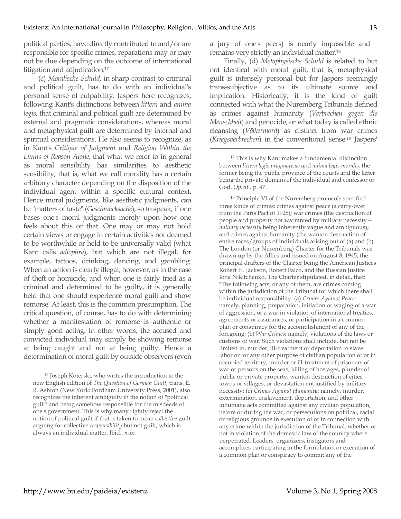political parties, have directly contributed to and/or are responsible for specific crimes, reparations may or may not be due depending on the outcome of international litigation and adjudication.17

(c) *Moralische Schuld,* in sharp contrast to criminal and political guilt, has to do with an individual's personal sense of culpability. Jaspers here recognizes, following Kant's distinctions between *littera* and *anima legis*, that criminal and political guilt are determined by external and pragmatic considerations, whereas moral and metaphysical guilt are determined by internal and spiritual considerations. He also seems to recognize, as in Kant's *Critique of Judgment* and *Religion Within the Limits of Reason Alone*, that what we refer to in general as moral sensibility has similarities to aesthetic sensibility, that is, what we call morality has a certain arbitrary character depending on the disposition of the individual agent within a specific cultural context. Hence moral judgments, like aesthetic judgments, can be "matters of taste" (*Geschmacksache*), so to speak, if one bases one's moral judgments merely upon how one feels about this or that. One may or may not hold certain views or engage in certain activities not deemed to be worthwhile or held to be universally valid (what Kant calls *adiophra*), but which are not illegal, for example, tattoos, drinking, dancing, and gambling. When an action is clearly illegal, however, as in the case of theft or homicide, and when one is fairly tried as a criminal and determined to be guilty, it is generally held that one should experience moral guilt and show remorse. At least, this is the common presumption. The critical question, of course, has to do with determining whether a manifestation of remorse is authentic or simply good acting. In other words, the accused and convicted individual may simply be showing remorse at being caught and not at being guilty. Hence a determination of moral guilt by outside observers (even a jury of one's peers) is nearly impossible and remains very strictly an individual matter.18

Finally, (d) *Metaphysische Schuld* is related to but not identical with moral guilt, that is, metaphysical guilt is intensely personal but for Jaspers seemingly trans-subjective as to its ultimate source and implication. Historically, it is the kind of guilt connected with what the Nuremberg Tribunals defined as crimes against humanity (*Verbrechen gegen die Menschheit*) and genocide, or what today is called ethnic cleansing (*Völkermord*) as distinct from war crimes (*Kriegsverbrechen*) in the conventional sense.19 Jaspers'

 $\overline{a}$ 

19 Principle VI of the Nuremberg protocols specified three kinds of crimes: crimes against peace (a carry-over from the Paris Pact of 1928); war crimes (the destruction of people and property not warranted by military necessity *military necessity* being inherently vague and ambiguous); and crimes against humanity (the wanton destruction of entire races/groups of individuals arising out of (a) and (b). The London (or Nuremberg) Charter for the Tribunals was drawn up by the Allies and issued on August 8, 1945, the principal drafters of the Charter being the American Justices Robert H. Jackson, Robert Falco, and the Russian Justice Iona Nikitchenko. The Charter stipulated, in detail, that: "The following acts, or any of them, are crimes coming within the jurisdiction of the Tribunal for which there shall be individual responsibility: (a) *Crimes Against Peace*: namely, planning, preparation, initiation or waging of a war of aggression, or a war in violation of international treaties, agreements or assurances, or participation in a common plan or conspiracy for the accomplishment of any of the foregoing; (b) *War Crimes*: namely, violations of the laws or customs of war. Such violations shall include, but not be limited to, murder, ill-treatment or deportation to slave labor or for any other purpose of civilian population of or in occupied territory, murder or ill-treatment of prisoners of war or persons on the seas, killing of hostages, plunder of public or private property, wanton destruction of cities, towns or villages, or devastation not justified by military necessity; (c) *Crimes Against Humanity*: namely, murder, extermination, enslavement, deportation, and other inhumane acts committed against any civilian population, before or during the war; or persecutions on political, racial or religious grounds in execution of or in connection with any crime within the jurisdiction of the Tribunal, whether or not in violation of the domestic law of the country where perpetrated. Leaders, organizers, instigators and accomplices participating in the formulation or execution of a common plan or conspiracy to commit any of the

 $\overline{a}$ 

<sup>17</sup> Joseph Koterski, who writes the introduction to the new English edition of *The Question of German Guilt*, trans. E. B. Ashton (New York: Fordham University Press, 2001), also recognizes the inherent ambiguity in the notion of "political guilt" and being somehow responsible for the misdeeds of one's government. This is why many rightly reject the notion of political guilt if that is taken to mean *collective* guilt arguing for collective *responsibility* but not guilt, which is always an individual matter. Ibid., x-ix.

<sup>18</sup> This is why Kant makes a fundamental distinction between *littera legis pragmaticae* and *anima legis moralis,* the former being the public province of the courts and the latter being the private domain of the individual and confessor or God. *Op.cit.,* p. 47.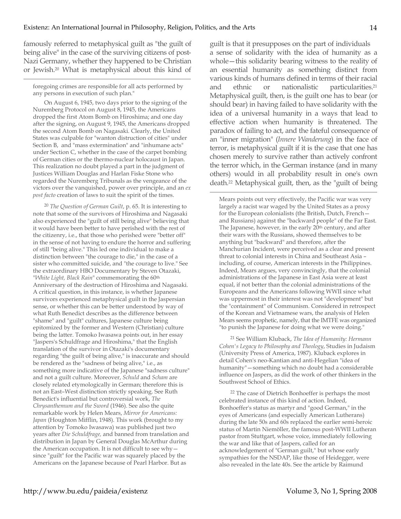famously referred to metaphysical guilt as "the guilt of being alive" in the case of the surviving citizens of post-Nazi Germany, whether they happened to be Christian or Jewish.20 What is metaphysical about this kind of

foregoing crimes are responsible for all acts performed by any persons in execution of such plan."

 $\overline{a}$ 

On August 6, 1945, two days prior to the signing of the Nuremberg Protocol on August 8, 1945, the Americans dropped the first Atom Bomb on Hiroshima; and one day after the signing, on August 9, 1945, the Americans dropped the second Atom Bomb on Nagasaki. Clearly, the United States was culpable for "wanton distruction of cities" under Section B, and "mass extermination" and "inhumane acts" under Section C, whether in the case of the carpet bombing of German cities or the thermo-nuclear holocaust in Japan. This realization no doubt played a part in the judgment of Justices William Douglas and Harlan Fiske Stone who regarded the Nuremberg Tribunals as the vengeance of the victors over the vanquished, power over principle, and an *ex post facto* creation of laws to suit the spirit of the times.

<sup>20</sup> *The Question of German Guilt*, p. 65. It is interesting to note that some of the survivors of Hiroshima and Nagasaki also experienced the "guilt of still being alive" believing that it would have been better to have perished with the rest of the citizenry, i.e., that those who perished were "better off" in the sense of not having to endure the horror and suffering of still "being alive." This led one individual to make a distinction between "the courage to die," in the case of a sister who committed suicide, and "the courage to live." See the extraordinary HBO Documentary by Steven Otazaki, "*White Light, Black Rain*" commemorating the 60th Anniversary of the destruction of Hiroshima and Nagasaki. A critical question, in this instance, is whether Japanese survivors experienced metaphysical guilt in the Jaspersian sense, or whether this can be better understood by way of what Ruth Benedict describes as the difference between "shame" and "guilt" cultures, Japanese culture being epitomized by the former and Western (Christian) culture being the latter. Tomoko Iwasawa points out, in her essay "Jaspers's Schuldfrage and Hiroshima," that the English translation of the survivor in Otazaki's documentary regarding "the guilt of being alive," is inaccurate and should be rendered as the "sadness of being alive," i.e., as something more indicative of the Japanese "sadness culture" and not a guilt culture. Moreover, *Schuld* and *Scham* are closely related etymologically in German; therefore this is not an East–West distinction strictly speaking. See Ruth Benedict's influential but controversial work, *The Chrysanthemum and the Sword* (1946). See also the quite remarkable work by Helen Mears, *Mirror for Americans: Japan* (Houghton Mifflin, 1948). This work (brought to my attention by Tomoko Iwasawa) was published just two years after *Die Schuldfrage,* and banned from translation and distribution in Japan by General Douglas McArthur during the American occupation. It is not difficult to see why since "guilt" for the Pacific war was squarely placed by the Americans on the Japanese because of Pearl Harbor. But as

guilt is that it presupposes on the part of individuals a sense of solidarity with the idea of humanity as a whole—this solidarity bearing witness to the reality of an essential humanity as something distinct from various kinds of humans defined in terms of their racial and ethnic or nationalistic particularities.21 Metaphysical guilt, then, is the guilt one has to bear (or should bear) in having failed to have solidarity with the idea of a universal humanity in a ways that lead to effective action when humanity is threatened. The paradox of failing to act, and the fateful consequence of an "inner migration" (*Innere Wanderung*) in the face of terror, is metaphysical guilt if it is the case that one has chosen merely to survive rather than actively confront the terror which, in the German instance (and in many others) would in all probability result in one's own death.22 Metaphysical guilt, then, as the "guilt of being

 $\overline{a}$ 

Mears points out very effectively, the Pacific war was very largely a racist war waged by the United States as a proxy for the European colonialists (the British, Dutch, French and Russians) against the "backward people" of the Far East. The Japanese, however, in the early 20<sup>th</sup> century, and after their wars with the Russians, showed themselves to be anything but "backward" and therefore, after the Manchurian Incident, were perceived as a clear and present threat to colonial interests in China and Southeast Asia – including, of course, American interests in the Philippines. Indeed, Mears argues, very convincingly, that the colonial administrations of the Japanese in East Asia were at least equal, if not better than the colonial administrations of the Europeans and the Americans following WWII since what was uppermost in their interest was not "development" but the "containment" of Communism. Considered in retrospect of the Korean and Vietnamese wars, the analysis of Helen Mears seems prophetic, namely, that the IMTFE was organized "to punish the Japanese for doing what we were doing."

21 See William Kluback, *The Idea of Humanity: Hermann Cohen's Legacy to Philosophy and Theology*, Studies in Judaism (University Press of America, 1987). Kluback explores in detail Cohen's neo-Kantian and anti-Hegelian "idea of humanity"—something which no doubt had a considerable influence on Jaspers, as did the work of other thinkers in the Southwest School of Ethics.

22 The case of Dietrich Bonhoeffer is perhaps the most celebrated instance of this kind of action. Indeed, Bonhoeffer's status as martyr and "good German," in the eyes of Americans (and especially American Lutherans) during the late 50s and 60s replaced the earlier semi-heroic status of Martin Niemöller, the famous post-WWII Lutheran pastor from Stuttgart, whose voice, immediately following the war and like that of Jaspers, called for an acknowledgement of "German guilt," but whose early sympathies for the NSDAP, like those of Heidegger, were also revealed in the late 40s. See the article by Raimund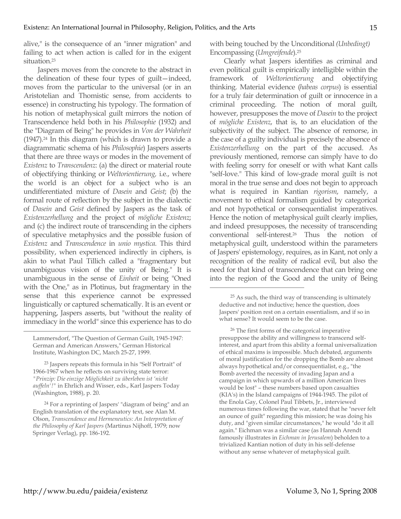alive," is the consequence of an "inner migration" and failing to act when action is called for in the exigent situation.23

Jaspers moves from the concrete to the abstract in the delineation of these four types of guilt—indeed, moves from the particular to the universal (or in an Aristotelian and Thomistic sense, from accidents to essence) in constructing his typology. The formation of his notion of metaphysical guilt mirrors the notion of Transcendence held both in his *Philosophie* (1932) and the "Diagram of Being" he provides in *Von der Wahrheit*  (1947).24 In this diagram (which is drawn to provide a diagrammatic schema of his *Philosophie*) Jaspers asserts that there are three ways or modes in the movement of *Existenz* to *Transcendenz*: (a) the direct or material route of objectifying thinking or *Weltorientierung,* i.e., where the world is an object for a subject who is an undifferentiated mixture of *Dasein* and *Geist*; (b) the formal route of reflection by the subject in the dialectic of *Dasein* and *Geist* defined by Jaspers as the task of *Existenzerhellung* and the project of *mögliche Existenz*; and (c) the indirect route of transcending in the ciphers of speculative metaphysics and the possible fusion of *Existenz* and *Transcendence* in *unio mystica.* This third possibility, when experienced indirectly in ciphers, is akin to what Paul Tillich called a "fragmentary but unambiguous vision of the unity of Being." It is unambiguous in the sense of *Einheit* or being "Oned with the One," as in Plotinus, but fragmentary in the sense that this experience cannot be expressed linguistically or captured schematically. It is an event or happening, Jaspers asserts, but "without the reality of immediacy in the world" since this experience has to do  $\overline{a}$ 

with being touched by the Unconditional *(Unbedingt)* Encompassing (*Umgreifende*).25

Clearly what Jaspers identifies as criminal and even political guilt is empirically intelligible within the framework of *Weltorientierung* and objectifying thinking. Material evidence (*habeas corpus*) is essential for a truly fair determination of guilt or innocence in a criminal proceeding. The notion of moral guilt, however, presupposes the move of *Dasein* to the project of *mögliche Existenz*, that is, to an elucidation of the subjectivity of the subject. The absence of remorse, in the case of a guilty individual is precisely the absence of *Existenzerhellung* on the part of the accused. As previously mentioned, remorse can simply have to do with feeling sorry for oneself or with what Kant calls "self-love." This kind of low-grade moral guilt is not moral in the true sense and does not begin to approach what is required in Kantian *rigorism*, namely, a movement to ethical formalism guided by categorical and not hypothetical or consequentialist imperatives. Hence the notion of metaphysical guilt clearly implies, and indeed presupposes, the necessity of transcending conventional self-interest.26 Thus the notion of metaphysical guilt, understood within the parameters of Jaspers' epistemology, requires, as in Kant, not only a recognition of the reality of radical evil, but also the need for that kind of transcendence that can bring one into the region of the Good and the unity of Being

 $\overline{a}$ 

26 The first forms of the categorical imperative presuppose the ability and willingness to transcend selfinterest, and apart from this ability a formal universalization of ethical maxims is impossible. Much debated, arguments of moral justification for the dropping the Bomb are almost always hypothetical and/or consequentialist, e.g., "the Bomb averted the necessity of invading Japan and a campaign in which upwards of a million American lives would be lost" – these numbers based upon casualties (KIA's) in the Island campaigns of 1944-1945. The pilot of the Enola Gay, Colonel Paul Tibbets, Jr., interviewed numerous times following the war, stated that he "never felt an ounce of guilt" regarding this mission; he was doing his duty, and "given similar circumstances," he would "do it all again." Eichman was a similar case (as Hannah Arendt famously illustrates in *Eichman in Jerusalem*) beholden to a trivialized Kantian notion of duty in his self-defense without any sense whatever of metaphysical guilt.

Lammersdorf, "The Question of German Guilt, 1945-1947: German and American Answers," German Historical Institute, Washington DC, March 25-27, 1999.

<sup>23</sup> Jaspers repeats this formula in his "Self Portrait" of 1966-1967 when he reflects on surviving state terror: *"Prinzip: Die einzige Möglichkeit zu überleben ist 'nicht auffeln'!"* in Ehrlich and Wisser, eds., Karl Jaspers Today (Washington, 1988), p. 20.

<sup>24</sup> For a reprinting of Jaspers' "diagram of being" and an English translation of the explanatory text, see Alan M. Olson, *Transcendence and Hermeneutics: An Interpretation of the Philosophy of Karl Jaspers* (Martinus Nijhoff, 1979; now Springer Verlag), pp. 186-192.

<sup>25</sup> As such, the third way of transcending is ultimately deductive and not inductive; hence the question, does Jaspers' position rest on a certain essentialism, and if so in what sense? It would seem to be the case.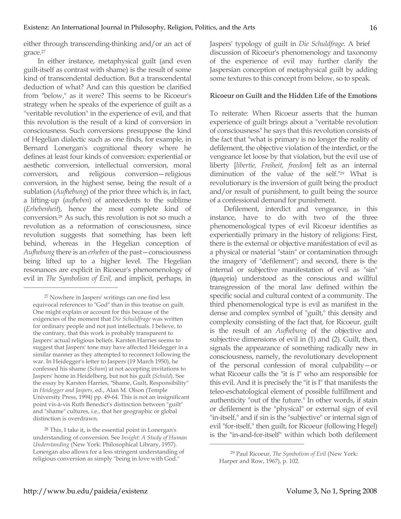either through transcending-thinking and/or an act of grace.27

In either instance, metaphysical guilt (and even guilt-itself as contrast with shame) is the result of some kind of transcendental deduction. But a transcendental deduction of what? And can this question be clarified from "below," as it were? This seems to be Ricoeur's strategy when he speaks of the experience of guilt as a "veritable revolution" in the experience of evil, and that this revolution is the result of a kind of conversion in consciousness. Such conversions presuppose the kind of Hegelian dialectic such as one finds, for example, in Bernard Lonergan's cognitional theory where he defines at least four kinds of conversion: experiential or aesthetic conversion, intellectual conversion, moral conversion, and religious conversion—religious conversion, in the highest sense, being the result of a sublation (*Aufhebung*) of the prior three which is, in fact, a lifting-up (*aufheben*) of antecedents to the sublime (*Erhebenheit*), hence the most complete kind of conversion.28 As such, this revolution is not so much a revolution as a reformation of consciousness, since revolution suggests that something has been left behind, whereas in the Hegelian conception of *Aufhebung* there is an *erheben* of the past—consciousness being lifted up to a higher level. The Hegelian resonances are explicit in Ricoeur's phenomenology of evil in *The Symbolism of Evil,* and implicit, perhaps, in

 $\overline{a}$ 

Jaspers' typology of guilt in *Die Schuldfrage*. A brief discussion of Ricoeur's phenomenology and taxonomy of the experience of evil may further clarify the Jaspersian conception of metaphysical guilt by adding some textures to this concept from below, so to speak.

## **Ricoeur on Guilt and the Hidden Life of the Emotions**

To reiterate: When Ricoeur asserts that the human experience of guilt brings about a "veritable revolution of consciousness" he says that this revolution consists of the fact that "what is primary is no longer the reality of defilement, the objective violation of the interdict, or the vengeance let loose by that violation, but the evil use of liberty [*libertie, Freiheit, freedom*] felt as an internal diminution of the value of the self."29 What is revolutionary is the inversion of guilt being the product and/or result of punishment, to guilt being the source of a confessional demand for punishment.

Defilement, interdict and vengeance, in this instance, have to do with two of the three phenomenological types of evil Ricoeur identifies as experientially primary in the history of religions: First, there is the external or objective manifestation of evil as a physical or material "stain" or contamination through the imagery of "defilement"; and second, there is the internal or subjective manifestation of evil as "sin" (ἁµαρτία) understood as the conscious and willful transgression of the moral law defined within the specific social and cultural context of a community. The third phenomenological type is evil as manifest in the dense and complex symbol of "guilt," this density and complexity consisting of the fact that, for Ricoeur, guilt is the result of an *Aufhebung* of the objective and subjective dimensions of evil in (1) and (2). Guilt, then, signals the appearance of something radically new in consciousness, namely, the revolutionary development of the personal confession of moral culpability—or what Ricoeur calls the "it is I" who am responsible for this evil. And it is precisely the "it is I" that manifests the teleo-eschatological element of possible fulfillment and authenticity "out of the future." In other words, if stain or defilement is the "physical" or external sign of evil "in-itself," and if sin is the "subjective" or internal sign of evil "for-itself," then guilt, for Ricoeur (following Hegel) is the "in-and-for-itself" within which both defilement  $\overline{a}$ 

<sup>27</sup> Nowhere in Jaspers' writings can one find less equivocal references to "God" than in this treatise on guilt. One might explain or account for this because of the exigencies of the moment that *Die Schuldfrage* was written for ordinary people and not just intellectuals. I believe, to the contrary, that this work is probably transparent to Jaspers' actual religious beliefs. Karsten Harries seems to suggest that Jaspers' tone may have affected Heidegger in a similar manner as they attempted to reconnect following the war. In Heidegger's letter to Jaspers (19 March 1950), he confessed his shame (*Scham*) at not accepting invitations to Jaspers' home in Heidelberg, but not his guilt (*Schuld*). See the essay by Karsten Harries, "Shame, Guilt, Responsibility" in *Heidegger and Jaspers*, ed., Alan M. Olson (Temple University Press, 1994) pp. 49-64. This is not an insignificant point vis-à-vis Ruth Benedict's distinction between "guilt" and "shame" cultures, i.e., that her geographic or global distinction is overdrawn.

<sup>28</sup> This, I take it, is the essential point in Lonergan's understanding of conversion. See *Insight: A Study of Human Understanding* (New York: Philosophical Library, 1957). Lonergan also allows for a less stringent understanding of religious conversion as simply "being in love with God."

<sup>29</sup> Paul Ricoeur, *The Symbolism of Evil* (New York: Harper and Row, 1967), p. 102.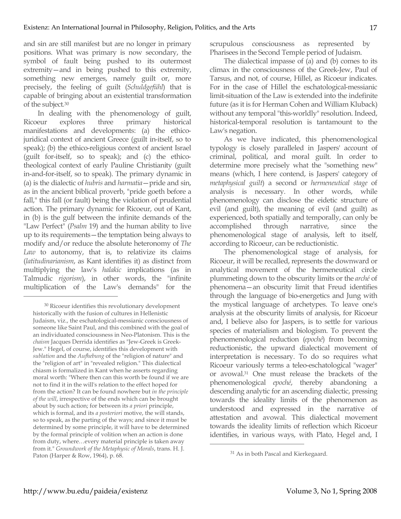and sin are still manifest but are no longer in primary positions. What was primary is now secondary, the symbol of fault being pushed to its outermost extremity—and in being pushed to this extremity, something new emerges, namely guilt or, more precisely, the feeling of guilt (*Schuldgefühl*) that is capable of bringing about an existential transformation of the subject*.* 30

In dealing with the phenomenology of guilt, Ricoeur explores three primary historical manifestations and developments: (a) the ethicojuridical context of ancient Greece (guilt in-itself, so to speak); (b) the ethico-religious context of ancient Israel (guilt for-itself, so to speak); and (c) the ethicotheological context of early Pauline Christianity (guilt in-and-for-itself, so to speak). The primary dynamic in (a) is the dialectic of *hubris* and *harmatia*—pride and sin, as in the ancient biblical proverb, "pride goeth before a fall," this fall (or fault) being the violation of prudential action. The primary dynamic for Ricoeur, out of Kant, in (b) is the gulf between the infinite demands of the "Law Perfect" (*Psalm* 19) and the human ability to live up to its requirements—the temptation being always to modify and/or reduce the absolute heteronomy of *The Law* to autonomy, that is, to relativize its claims (*latitudinarianism*, as Kant identifies it) as distinct from multiplying the law's *halakic* implications (as in Talmudic *rigorism*), in other words, the "infinite multiplication of the Law's demands" for the

scrupulous consciousness as represented by Pharisees in the Second Temple period of Judaism.

The dialectical impasse of (a) and (b) comes to its climax in the consciousness of the Greek-Jew, Paul of Tarsus, and not, of course, Hillel, as Ricoeur indicates. For in the case of Hillel the eschatological-messianic limit-situation of the Law is extended into the indefinite future (as it is for Herman Cohen and William Kluback) without any temporal "this-worldly" resolution. Indeed, historical-temporal resolution is tantamount to the Law's negation.

As we have indicated, this phenomenological typology is closely paralleled in Jaspers' account of criminal, political, and moral guilt. In order to determine more precisely what the "something new" means (which, I here contend, is Jaspers' category of *metaphysical guilt*) a second or *hermeneutical stage* of analysis is necessary. In other words, while phenomenology can disclose the eidetic structure of evil (and guilt), the meaning of evil (and guilt) as experienced, both spatially and temporally, can only be accomplished through narrative, since the phenomenological stage of analysis, left to itself, according to Ricoeur, can be reductionistic.

The phenomenological stage of analysis, for Ricoeur, it will be recalled, represents the downward or analytical movement of the hermeneutical circle plummeting down to the obscurity limits or the *arché* of phenomena—an obscurity limit that Freud identifies through the language of bio-energetics and Jung with the mystical language of archetypes. To leave one's analysis at the obscurity limits of analysis, for Ricoeur and, I believe also for Jaspers, is to settle for various species of materialism and biologism. To prevent the phenomenological reduction (*epoché*) from becoming reductionistic, the upward dialectical movement of interpretation is necessary. To do so requires what Ricoeur variously terms a teleo-eschatological "wager" or avowal.31 One must release the brackets of the phenomenological *epoché*, thereby abandoning a descending analytic for an ascending dialectic, pressing towards the ideality limits of the phenomenon as understood and expressed in the narrative of attestation and avowal. This dialectical movement towards the ideality limits of reflection which Ricoeur identifies, in various ways, with Plato, Hegel and, I

 $\overline{a}$ 

 $\overline{a}$ 

<sup>30</sup> Ricoeur identifies this revolutionary development historically with the fusion of cultures in Hellenistic Judaism, viz., the eschatological-messianic consciousness of someone like Saint Paul, and this combined with the goal of an individuated consciousness in Neo-Platonism. This is the *chaism* Jacques Derrida identifies as "Jew-Greek is Greek-Jew." Hegel, of course, identifies this development with *sublation* and the *Aufhebung* of the "religion of nature" and the "religion of art" in "revealed religion." This dialectical chiasm is formalized in Kant when he asserts regarding moral worth: "Where then can this worth be found if we are not to find it in the will's relation to the effect hoped for from the action? It can be found nowhere but *in the principle of the will*, irrespective of the ends which can be brought about by such action; for between its *a priori* principle, which is formal, and its *a posteriori* motive, the will stands, so to speak, as the parting of the ways; and since it must be determined by some principle, it will have to be determined by the formal principle of volition when an action is done from duty, where…every material principle is taken away from it." *Groundwork of the Metaphysic of Morals*, trans. H. J. Paton (Harper & Row, 1964), p. 68.

<sup>31</sup> As in both Pascal and Kierkegaard.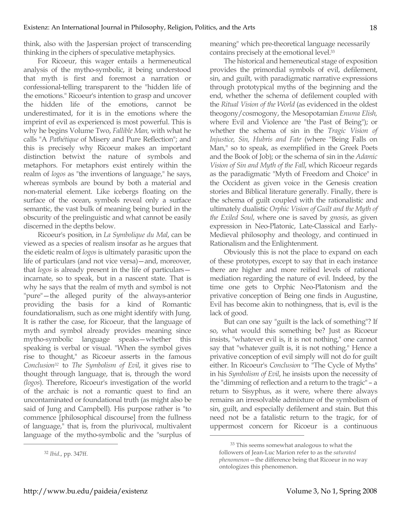think, also with the Jaspersian project of transcending thinking in the ciphers of speculative metaphysics.

For Ricoeur, this wager entails a hermeneutical analysis of the mytho-symbolic, it being understood that myth is first and foremost a narration or confessional-telling transparent to the "hidden life of the emotions." Ricoeur's intention to grasp and uncover the hidden life of the emotions, cannot be underestimated, for it is in the emotions where the imprint of evil as experienced is most powerful. This is why he begins Volume Two, *Fallible Man,* with what he calls "A *Pathétique* of Misery and Pure Reflection"; and this is precisely why Ricoeur makes an important distinction betwixt the nature of symbols and metaphors. For metaphors exist entirely within the realm of *logos* as "the inventions of language," he says, whereas symbols are bound by both a material and non-material element. Like icebergs floating on the surface of the ocean, symbols reveal only a surface semantic, the vast bulk of meaning being buried in the obscurity of the prelinguistic and what cannot be easily discerned in the depths below.

Ricoeur's position, in *La Symbolique du Mal*, can be viewed as a species of realism insofar as he argues that the eidetic realm of *logos* is ultimately parasitic upon the life of particulars (and not vice versa)—and, moreover, that *logos* is already present in the life of particulars incarnate, so to speak, but in a nascent state. That is why he says that the realm of myth and symbol is not "pure"—the alleged purity of the always-anterior providing the basis for a kind of Romantic foundationalism, such as one might identify with Jung. It is rather the case, for Ricoeur, that the language of myth and symbol already provides meaning since mytho-symbolic language speaks—whether this speaking is verbal or visual. "When the symbol gives rise to thought," as Ricoeur asserts in the famous *Conclusion32* to *The Symbolism of Evil*, it gives rise to thought through language, that is, through the word *(logos*). Therefore, Ricoeur's investigation of the world of the archaic is not a romantic quest to find an uncontaminated or foundational truth (as might also be said of Jung and Campbell). His purpose rather is "to commence [philosophical discourse] from the fullness of language," that is, from the plurivocal, multivalent language of the mytho-symbolic and the "surplus of

 $\overline{a}$ 

meaning" which pre-theoretical language necessarily contains precisely at the emotional level.33

The historical and hemeneutical stage of exposition provides the primordial symbols of evil, defilement, sin, and guilt, with paradigmatic narrative expressions through prototypical myths of the beginning and the end, whether the schema of defilement coupled with the *Ritual Vision of the World* (as evidenced in the oldest theogony/cosmogony, the Mesopotamian *Enuma Elish,* where Evil and Violence are "the Past of Being"); or whether the schema of sin in the *Tragic Vision of Injustice, Sin, Hubris and Fate* (where "Being Falls on Man," so to speak, as exemplified in the Greek Poets and the Book of Job); or the schema of sin in the *Adamic Vision of Sin and Myth of the Fall*, which Ricoeur regards as the paradigmatic "Myth of Freedom and Choice" in the Occident as given voice in the Genesis creation stories and Biblical literature generally. Finally, there is the schema of guilt coupled with the rationalistic and ultimately dualistic *Orphic Vision of Guilt and the Myth of the Exiled Soul*, where one is saved by *gnosis*, as given expression in Neo-Platonic, Late-Classical and Early-Medieval philosophy and theology, and continued in Rationalism and the Enlightenment.

Obviously this is not the place to expand on each of these prototypes, except to say that in each instance there are higher and more reified levels of rational mediation regarding the nature of evil. Indeed, by the time one gets to Orphic Neo-Platonism and the privative conception of Being one finds in Augustine, Evil has become akin to nothingness, that is, evil is the lack of good.

But can one say "guilt is the lack of something"? If so, what would this something be? Just as Ricoeur insists, "whatever evil is, it is not nothing," one cannot say that "whatever guilt is, it is not nothing." Hence a privative conception of evil simply will not do for guilt either. In Ricoeur's *Conclusion* to "The Cycle of Myths" in his *Symbolism of Evil*, he insists upon the necessity of the "dimming of reflection and a return to the tragic" – a return to Sisyphus, as it were, where there always remains an irresolvable admixture of the symbolism of sin, guilt, and especially defilement and stain. But this need not be a fatalistic return to the tragic, for of uppermost concern for Ricoeur is a continuous

 $\overline{a}$ 

<sup>32</sup> *Ibid*., pp. 347ff.

<sup>33</sup> This seems somewhat analogous to what the followers of Jean-Luc Marion refer to as the *saturated phenomenon*—the difference being that Ricoeur in no way ontologizes this phenomenon.